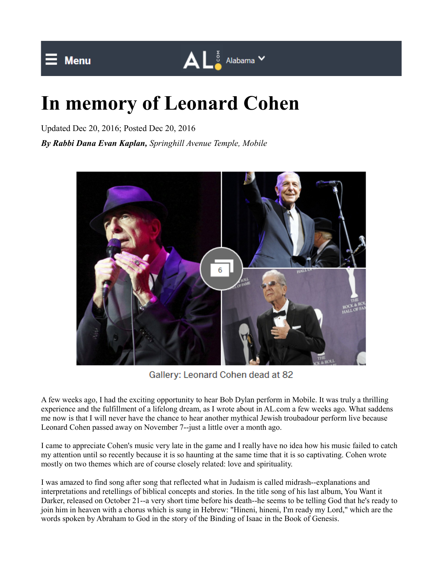## **In memory of Leonard Cohen**

Updated Dec 20, 2016; Posted Dec 20, 2016

*By Rabbi Dana Evan Kaplan, Springhill Avenue Temple, Mobile*



 $\mathbf{A} \mathbf{L}^{\frac{z}{3}}$  Alabama  $\mathbf{v}$ 

Gallery: Leonard Cohen dead at 82

A few weeks ago, I had the exciting opportunity to hear Bob Dylan perform in Mobile. It was truly a thrilling experience and the fulfillment of a lifelong dream, as I wrote about in AL.com a few weeks ago. What saddens me now is that I will never have the chance to hear another mythical Jewish troubadour perform live because Leonard Cohen passed away on November 7--just a little over a month ago.

I came to appreciate Cohen's music very late in the game and I really have no idea how his music failed to catch my attention until so recently because it is so haunting at the same time that it is so captivating. Cohen wrote mostly on two themes which are of course closely related: love and spirituality.

I was amazed to find song after song that reflected what in Judaism is called midrash--explanations and interpretations and retellings of biblical concepts and stories. In the title song of his last album, You Want it Darker, released on October 21--a very short time before his death--he seems to be telling God that he's ready to join him in heaven with a chorus which is sung in Hebrew: "Hineni, hineni, I'm ready my Lord," which are the words spoken by Abraham to God in the story of the Binding of Isaac in the Book of Genesis.